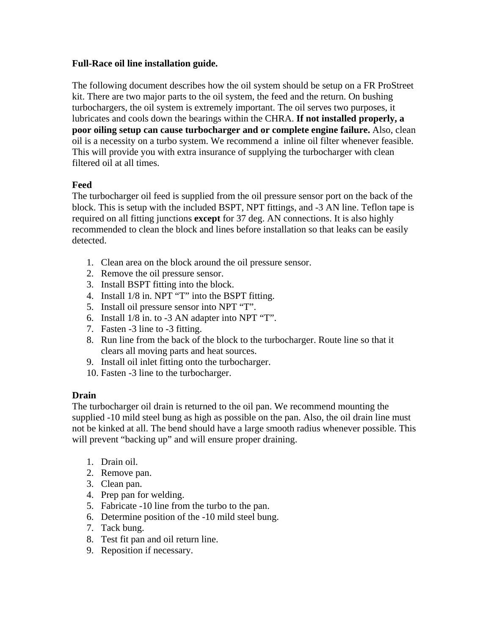## **Full-Race oil line installation guide.**

The following document describes how the oil system should be setup on a FR ProStreet kit. There are two major parts to the oil system, the feed and the return. On bushing turbochargers, the oil system is extremely important. The oil serves two purposes, it lubricates and cools down the bearings within the CHRA. **If not installed properly, a poor oiling setup can cause turbocharger and or complete engine failure.** Also, clean oil is a necessity on a turbo system. We recommend a inline oil filter whenever feasible. This will provide you with extra insurance of supplying the turbocharger with clean filtered oil at all times.

## **Feed**

The turbocharger oil feed is supplied from the oil pressure sensor port on the back of the block. This is setup with the included BSPT, NPT fittings, and -3 AN line. Teflon tape is required on all fitting junctions **except** for 37 deg. AN connections. It is also highly recommended to clean the block and lines before installation so that leaks can be easily detected.

- 1. Clean area on the block around the oil pressure sensor.
- 2. Remove the oil pressure sensor.
- 3. Install BSPT fitting into the block.
- 4. Install 1/8 in. NPT "T" into the BSPT fitting.
- 5. Install oil pressure sensor into NPT "T".
- 6. Install 1/8 in. to -3 AN adapter into NPT "T".
- 7. Fasten -3 line to -3 fitting.
- 8. Run line from the back of the block to the turbocharger. Route line so that it clears all moving parts and heat sources.
- 9. Install oil inlet fitting onto the turbocharger.
- 10. Fasten -3 line to the turbocharger.

## **Drain**

The turbocharger oil drain is returned to the oil pan. We recommend mounting the supplied -10 mild steel bung as high as possible on the pan. Also, the oil drain line must not be kinked at all. The bend should have a large smooth radius whenever possible. This will prevent "backing up" and will ensure proper draining.

- 1. Drain oil.
- 2. Remove pan.
- 3. Clean pan.
- 4. Prep pan for welding.
- 5. Fabricate -10 line from the turbo to the pan.
- 6. Determine position of the -10 mild steel bung.
- 7. Tack bung.
- 8. Test fit pan and oil return line.
- 9. Reposition if necessary.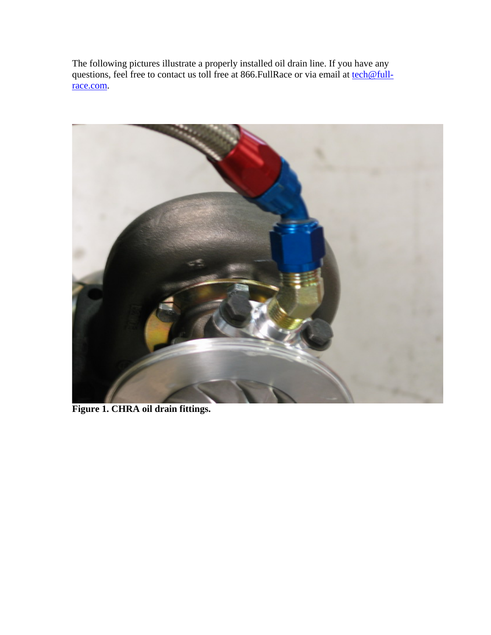The following pictures illustrate a properly installed oil drain line. If you have any questions, feel free to contact us toll free at 866.FullRace or via email at [tech@full](mailto:tech@full-race.com)[race.com.](mailto:tech@full-race.com)



**Figure 1. CHRA oil drain fittings.**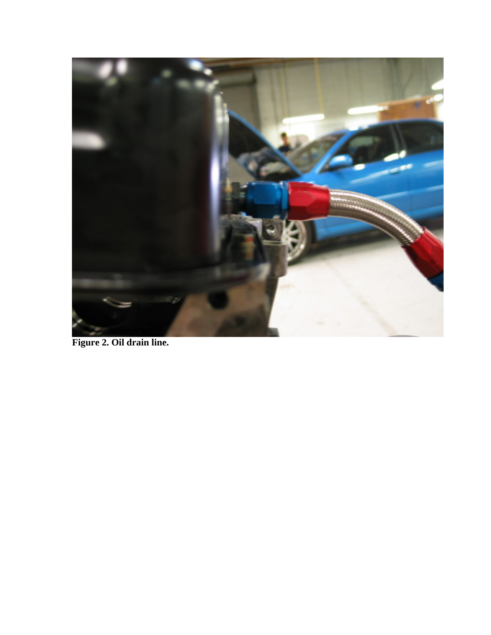

**Figure 2. Oil drain line.**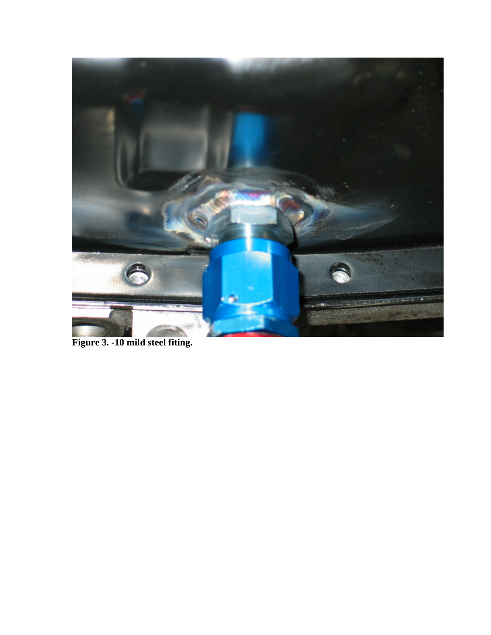

**Figure 3. -10 mild steel fiting.**